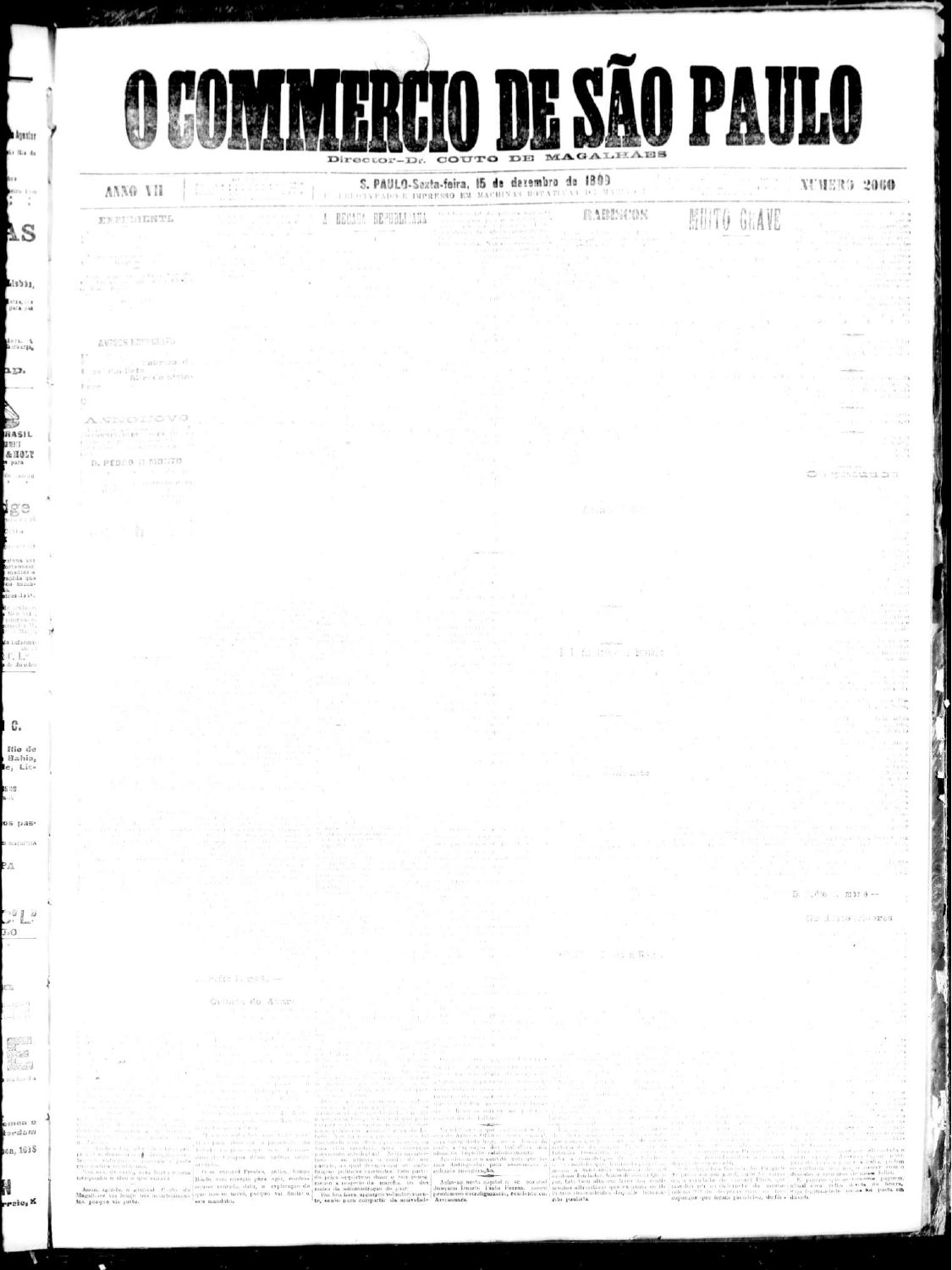

 $\Gamma_\bullet \stackrel{a\to -1}{\prod_{i=1}^n a}$  de Janeiro

ta infarma-

a Agastur

to the da

ecito divo S W

 $\Lambda \mathrm{S}$ 

 $13333.$ 

bras, cre<br>para pas

deral A.

- היב

**AB** 

RASIL

2013 AHOLT

para  $\begin{array}{c} \Phi_0 = \pm \ln \ln q \\ \ast \end{array}$ 

lge.

tin) a  $(1 - x)^n$  (3) ter sneles artanonii<br>| modia> e<br>| modia que<br>| ca | lugga-

dras da Lt. e indiano.<br>Sew yers

be a

С. Rio de

Bahis, le, Lise 808  $\mathbf{a}$ 

os pas-

a magnificav.

PД

 $0.00$ 

LO.

Éй

 $-12 - 79$  $=1 - 10$ 

 $\mathbb{R}^3$ Ak. 8

multiplat

emon e (ពេជនមន្

10a, 1618

U

rreio, K

with the model of

Carlescu de Anazo

 $\label{eq:2} \textbf{Area} = \frac{1}{2} \begin{pmatrix} 1 & 0 & 0 & 0 & 0 \\ 0 & 0 & 0 & 0 & 0 \\ 0 & 0 & 0 & 0 & 0 \\ 0 & 0 & 0 & 0 & 0 \\ 0 & 0 & 0 & 0 & 0 \\ 0 & 0 & 0 & 0 & 0 \\ 0 & 0 & 0 & 0 & 0 \\ 0 & 0 & 0 & 0 & 0 \\ 0 & 0 & 0 & 0 & 0 \\ 0 & 0 & 0 & 0 & 0 \\ 0 & 0 & 0 & 0 & 0 \\ 0 & 0 & 0 & 0 & 0 \\ 0 & 0 & 0 & 0 &$ 

**自主要有关的。** 

http://www.

 $\overline{D}$ ,  $\overline{P}$  (0),  $\overline{M}$   $\overline{M}$   $\overline{0}$   $\rightarrow$ 

Ga digio ciobres

at is

mine<br>Historia  $(0.11, 0.06, 0.06)$ 

 $+12V$ 

 $-12$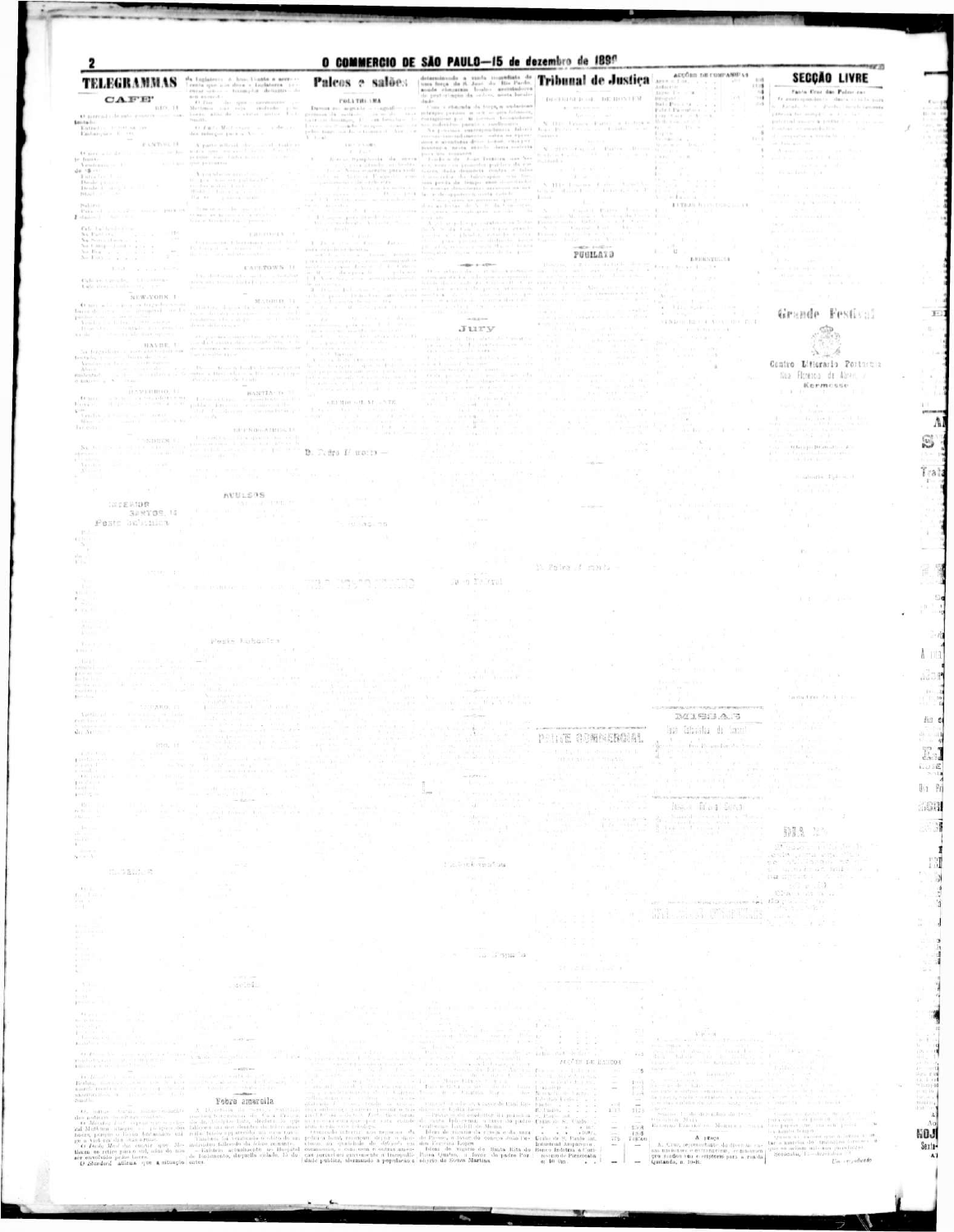## $\textbf{CELEGRAMMAS} \begin{tabular}{|c|c|c|c|} \hline \textbf{TELEGRAMMAS} & \textbf{a} & \textbf{a} & \textbf{b} & \textbf{b} & \textbf{b} & \textbf{a} & \textbf{a} & \textbf{a} & \textbf{a} & \textbf{a} & \textbf{a} & \textbf{a} & \textbf{a} & \textbf{a} & \textbf{a} & \textbf{a} & \textbf{a} & \textbf{a} & \textbf{a} & \textbf{a} & \textbf{a} & \textbf{a} & \textbf{a} & \textbf{a} & \textbf{a} & \textbf{a$

Pinally

that Journalist

A requirement

 $\begin{array}{ll} \mbox{B} & \mbox{A} \times \mathfrak{a} & \mbox{where} \quad \mbox{a} \times \mathfrak{a} \times \mathfrak{a} \times \mathfrak{a} \times \mathfrak{a} \times \mathfrak{a} \times \mathfrak{a} \times \mathfrak{a} \times \mathfrak{a} \times \mathfrak{a} \times \mathfrak{a} \times \mathfrak{a} \times \mathfrak{a} \times \mathfrak{a} \times \mathfrak{a} \times \mathfrak{a} \times \mathfrak{a} \times \mathfrak{a} \times \mathfrak{a} \times \mathfrak{a} \times \mathfr$ 

 $\begin{array}{l} \textbf{Tr}_{\mathcal{M}}(\mathbf{x},\mathbf{y}) = \textbf{Tr}_{\mathcal{M}}(\mathbf{x},\mathbf{y}) \quad \text{for all } \mathcal{M} \in \mathcal{M} \\ \textbf{Tr}_{\mathcal{M}}(\mathbf{x},\mathbf{y}) = \mathbf{Tr}_{\mathcal{M}}(\mathbf{x},\mathbf{y}) = \mathbf{Tr}_{\mathcal{M}}(\mathbf{x},\mathbf{y}) = \mathbf{Tr}_{\mathcal{M}}(\mathbf{x},\mathbf{y}) \\ \textbf{Tr}_{\mathcal{M}}(\mathbf{x},\mathbf{y}) = \mathbf{Tr}_{\mathcal{M}}(\mathbf{x},\mathbf{y})$ 

THURSDAY, IT

 $\begin{array}{ccc} 0 & I \otimes \gamma & W(t) \rightarrow_{\mathbb{R}^{2n}} & \dots & \gamma \cdot \delta \sigma \\ \text{det} \ \text{triv}(q) = p \circ \pi \circ X \circ \dots \end{array}$ 

O natural i de subi quantiti comi con-**Section** Entrettis, 10300-000 ten-Embarques il cen-A partic will<br>could choose an  $A$  and  $\ell$  <br>is not a particular contribution of the  $\ell$ **FANTSUL II** 

the same of he-O per a la de- $\begin{array}{ll} \frac{1}{2} \mathrm{e}^{i\theta} \cdot \frac{1}{2} \mathrm{Im} \left( \frac{1}{2} \, \mathrm{Im} \left( \frac{1}{2} \, \mathrm{Im} \left( \frac{1}{2} \, \mathrm{Im} \left( \frac{1}{2} \, \mathrm{Im} \left( \frac{1}{2} \, \mathrm{Im} \left( \frac{1}{2} \, \mathrm{Im} \left( \frac{1}{2} \, \mathrm{Im} \left( \frac{1}{2} \, \mathrm{Im} \left( \frac{1}{2} \, \mathrm{Im} \left( \frac{1}{2} \, \mathrm{Im} \left( \frac{1}{2} \,$  $40 - 8 - 1$ 

 $\begin{array}{l} \textbf{Path}(\alpha) = 1\\ \textbf{Path}(\beta) = 1\\ \textbf{Path}(\beta) = 1\\ \textbf{Path}(\beta) = 1\\ \textbf{Path}(\beta) = 1\\ \textbf{Path}(\beta) = 1\\ \textbf{Path}(\beta) = 1\\ \textbf{Path}(\beta) = 1\\ \textbf{Path}(\beta) = 1\\ \textbf{Path}(\beta) = 1\\ \textbf{Path}(\beta) = 1\\ \textbf{Path}(\beta) = 1\\ \textbf{Path}(\beta) = 1\\ \textbf{Path}(\beta) = 1\\ \textbf{Path}(\beta) = 1\\ \textbf{Path}(\beta) = 1\\ \textbf{Path$ NUCLES

 $\begin{array}{ll} \textbf{P}(\textbf{a}_1(x)) & & \\ \textbf{P}(\textbf{a}_2 = 1) & \text{min}(\sqrt{2} \pi) & \text{min}(\sqrt{2} \pi) \\ \textbf{P}(\textbf{a}_2(x)) & & \text{min}(\pi) \end{array} \begin{array}{ll} \textbf{P}(\textbf{a}_1(x)) = \textbf{P}(\textbf{a}_2(x)) = \textbf{P}(\textbf{a}_1(x)) = \textbf{P}(\textbf{a}_2(x)) = \textbf{P}(\textbf{a}_1(x)) = \textbf{P}(\textbf{a}_2(x)) = \textbf{P}(\textbf{a}_1(x)) =$ 

 $\mathbf{Coh}$  . Let be a letter 

**BRIDGE AND ARRESTS** 

 $\begin{array}{l} \mbox{Table 4 to the value} \\ \mbox{Table 4 to the value} \\ \end{array}$ 

NUW-YORK L

 $\begin{array}{ccccccccc} \textbf{B} & \textbf{M} & \textbf{M} & \textbf{M} & \textbf{M} & \textbf{M} & \textbf{M} & \textbf{M} & \textbf{M} & \textbf{M} & \textbf{M} & \textbf{M} & \textbf{M} & \textbf{M} & \textbf{M} & \textbf{M} & \textbf{M} & \textbf{M} & \textbf{M} & \textbf{M} & \textbf{M} & \textbf{M} & \textbf{M} & \textbf{M} & \textbf{M} & \textbf{M} & \textbf{M} & \textbf{M} & \textbf{M} & \textbf{M} & \$ 

 $\mathbb{E}[\mathcal{L}(\mathbf{M},\mathbf{M},\mathbf{M},\mathbf{M})]=\mathbb{E}[\mathcal{L}(\mathbf{M},\mathbf{M},\mathbf{M})]=\mathbb{E}[\mathcal{L}(\mathbf{M},\mathbf{M},\mathbf{M},\mathbf{M},\mathbf{M},\mathbf{M},\mathbf{M},\mathbf{M},\mathbf{M},\mathbf{M},\mathbf{M},\mathbf{M},\mathbf{M},\mathbf{M},\mathbf{M},\mathbf{M},\mathbf{M},\mathbf{M},\mathbf{M},\mathbf{M},\mathbf{M},\mathbf{M},\mathbf{M},\math$  $\|x\|_2^2 = \sum_{i=1}^n \frac{\exp\left(\frac{1}{\|x_i\|_2^2} + \frac{1}{\|x_i\|_2^2} + \frac{1}{\|x_i\|_2^2} + \frac{1}{\|x_i\|_2^2} + \frac{1}{\|x_i\|_2^2} + \frac{1}{\|x_i\|_2^2} + \frac{1}{\|x_i\|_2^2} + \frac{1}{\|x_i\|_2^2} + \frac{1}{\|x_i\|_2^2} + \frac{1}{\|x_i\|_2^2} + \frac{1}{\|x_i\|_2^2} + \frac{1}{\|x$  $3x + 14$ 

and the C **AUULSOS** 547 million to the fire

SPRYDE 16

STEARS EL

**INTERIOR** 

Peste bubinita

HF.

The Court

**HAM** vitini/ori

ne en<br>Heriot ar da e.<br>Karl II

Navel 1

**CAULTOWN 11** 

 $\begin{array}{c} \mbox{Hicky}_{\mathcal{D}} \quad \downarrow_{\mathcal{D}} \quad \text{if $\chi$ DRTD\_11$}\\ \mbox{Hicky}_{\mathcal{D}} \quad \downarrow_{\mathcal{D}} \quad \downarrow_{\mathcal{D}} \quad \downarrow_{\mathcal{D}} \quad \downarrow_{\mathcal{D}} \quad \downarrow_{\mathcal{D}} \quad \downarrow_{\mathcal{D}}\\ \mbox{for $n$}, \quad \downarrow_{\mathcal{D}} \quad \downarrow_{\mathcal{D}} \quad \downarrow_{\mathcal{D}} \quad \downarrow_{\mathcal{D}} \quad \downarrow_{\mathcal{D}} \quad \downarrow_{\mathcal{D}} \quad$ fears defending

 $\label{eq:2.1} \begin{array}{c} \mathcal{F}(\mathcal{E}) = \mathbb{E}[\mathcal{E}(\mathcal{E})] = \mathbb{E}[\mathcal{E}(\mathcal{E})] = \mathbb{E}[\mathcal{E}(\mathcal{E})] = \mathbb{E}[\mathcal{E}(\mathcal{E})] = \mathbb{E}[\mathcal{E}(\mathcal{E})] = \mathbb{E}[\mathcal{E}(\mathcal{E})] = \mathbb{E}[\mathcal{E}(\mathcal{E})] = \mathbb{E}[\mathcal{E}(\mathcal{E})] = \mathbb{E}[\mathcal{E}(\mathcal{E})] = \mathbb{E}[\mathcal{E$ 

TRIPNON-ASSISTAN

Peste Russanton

 $-11 -$ 

and available

fika – Stali i Primininga.<br>Politika

 $B$ . F. fra  $U$  molli  $-$ 

is resingents.

they we have a second term of

 $T$  . These area of  $T_{\rm HII}$  and  $T_{\rm HII}$ 

 $\begin{array}{ll} \mathbf{1}_{\mathbf{B}} & \mathbf{A} & \mathbf{B} & \mathbf{B} & \mathbf{B} & \mathbf{B} & \mathbf{B} & \mathbf{B} & \mathbf{B} \\ \mathbf{1}_{\mathbf{B}} & \mathbf{A} & \mathbf{B} & \mathbf{B} & \mathbf{B} & \mathbf{B} & \mathbf{B} & \mathbf{B} & \mathbf{B} \\ \mathbf{B} & \mathbf{A} & \mathbf{B} & \mathbf{B} & \mathbf{B} & \mathbf{B} & \mathbf{B} & \mathbf{B} & \mathbf{B} \\ \mathbf{B} & \mathbf{B$ 

**CALL AND** 

 $+33.33$  Hart  $+44.54$   $-7.76$ .

 $\begin{array}{lllllllllllllllllllll} \textbf{D} \mathbf{a} \textbf{u} \textbf{u} & \textbf{a} \textbf{u} & \textbf{a} \textbf{u} & \textbf{a} \textbf{u} & \textbf{a} \textbf{u} & \textbf{a} \textbf{u} & \textbf{a} \textbf{u} & \textbf{a} \textbf{u} & \textbf{a} \textbf{u} & \textbf{a} \textbf{u} & \textbf{a} \textbf{u} & \textbf{a} \textbf{u} & \textbf{a} \textbf{u} & \textbf{a} \textbf{u} & \textbf{a} \textbf$ Come a statement the torps, a statement

 $\label{eq:R} R(x) = \mathbb{E}\left[\max_{1 \leq i \leq n} \frac{1}{n} \sum_{i=1}^n \frac{1}{n} \sum_{i=1}^n \frac{1}{n} \sum_{i=1}^n \frac{1}{n} \sum_{i=1}^n \frac{1}{n} \sum_{i=1}^n \frac{1}{n} \sum_{i=1}^n \frac{1}{n} \sum_{i=1}^n \frac{1}{n} \sum_{i=1}^n \frac{1}{n} \sum_{i=1}^n \frac{1}{n} \sum_{i=1}^n \frac{1}{n} \sum_{i=1}^n \frac{1}{n} \sum_{i=1$ process some traple and as a summer  $\begin{array}{ll} A\rightarrow \mathbb{Q}_{\mathbb{Q}} \rightarrow \mathbb{Q}_{\mathbb{Q}} \rightarrow \mathbb{Q}_{\mathbb{Q}} \rightarrow \mathbb{Q}_{\mathbb{Q}} \rightarrow \mathbb{Q}_{\mathbb{Q}} \rightarrow \mathbb{Q}_{\mathbb{Q}} \rightarrow \mathbb{Q}_{\mathbb{Q}} \rightarrow \mathbb{Q}_{\mathbb{Q}} \rightarrow \mathbb{Q}_{\mathbb{Q}} \rightarrow \mathbb{Q}_{\mathbb{Q}} \rightarrow \mathbb{Q}_{\mathbb{Q}} \rightarrow \mathbb{Q}_{\mathbb{Q}} \rightarrow \mathbb{Q}_{\mathbb{Q}} \rightarrow \mathbb{Q}_{\mathbb{Q}} \rightarrow \mathbb{Q}_{\mathbb{Q}} \rightarrow$ 

 $-400 + 4 - 459 -$ 

## $-0.014 - 0.00$ JUTY

 $\liminf_{\left\Vert \mathbf{a} \right\Vert = \alpha + 1} \sup_{\mathbf{a} \in \mathbb{R}^n} \sup_{\mathbf{a} \in \mathbb{R}^n} \frac{ \left\Vert \mathbf{a} \right\Vert_{\mathbf{a}}^2 - \left\Vert \mathbf{a} \right\Vert_{\mathbf{a}}^2 + \left\Vert \mathbf{a} \right\Vert_{\mathbf{a}}^2}{\left\Vert \mathbf{a} \right\Vert_{\mathbf{a}}^2 + \left\Vert \mathbf{a} \right\Vert_{\mathbf{a}}^2} = \max_{\mathbf{a} \in \mathbb{R}^n} \frac{ \left\Vert \mathbf{$  $\pm$  100 km and  $\pm$  $\begin{array}{ll} \Box & \neg \otimes \cdots = \emptyset \oplus \Sigma. \end{array}$ and the first state of the state of

 $1 - 1 = 1 + 1 = 1$ 

W O MA Crol

입학 집

 $\beta_{\rm C,00000}$  $-114.$  $-16.1$ 

 $\label{eq:3.1} \frac{1}{2} \sum_{i=1}^n \frac{1}{2} \left( \sum_{i=1}^n \frac{1}{2} \sum_{j=1}^n \frac{1}{2} \sum_{j=1}^n \frac{1}{2} \sum_{j=1}^n \frac{1}{2} \sum_{j=1}^n \frac{1}{2} \sum_{j=1}^n \frac{1}{2} \sum_{j=1}^n \frac{1}{2} \sum_{j=1}^n \frac{1}{2} \sum_{j=1}^n \frac{1}{2} \sum_{j=1}^n \frac{1}{2} \sum_{j=1}^n \frac{1}{2} \sum_{j=1}^n$ 

 $\begin{array}{r|rrrrrr} &\mbox{r.t. } & \mbox{r.t. } & \mbox{r.t. } & \mbox{r.t. } & \mbox{r.t. } \\ \hline \hline \mbox{u} & \mbox{u} & \mbox{u} & \mbox{u} & \mbox{u} & \mbox{u} & \mbox{u} & \mbox{u} \\ \hline \mbox{u} & \mbox{u} & \mbox{u} & \mbox{u} & \mbox{u} & \mbox{u} & \mbox{u} & \mbox{u} & \mbox{u} \\ \hline \mbox{u} & \mbox{u} & \mbox{u} & \mbox{u} & \mbox{$ 

 $-405 + 1452 + 4$ 

PUGILATO

The Abertain is not

**Treaty** 

a printed a company of the most of the

11 Folks of month

Contract of emergency of d'i service d'un a version la two win, me Alerca and Which Berlin, The

 $\sim 100$ 11:5 -4

 $\sim$ 

**ADODIS DE COMPANIELS** 

 $\begin{array}{l} \text{After a 1 to}\\ \text{After a 2 to}\\ \text{After a 3 to}\\ \end{array}$ 

Bill Press St. Lewis

 $\begin{array}{ll} \text{First Figure 1:} & \text{for } \mathcal{A} \text{ is a } \mathcal{A} \text{ is a } \mathcal{A} \text{ is a } \mathcal{A} \text{ is a } \mathcal{A} \text{ is a } \mathcal{A} \text{ is a } \mathcal{A} \text{ is a } \mathcal{A} \text{ is a } \mathcal{A} \text{ is a } \mathcal{A} \text{ is a } \mathcal{A} \text{ is a } \mathcal{A} \text{ is a } \mathcal{A} \text{ is a } \mathcal{A} \text{ is a } \mathcal{A} \text{ is a } \mathcal{A} \text{ is a } \mathcal{A}$ 

o mar

itia 11

 $\mathbf{U} = \mathbf{U}$ 

**TRIVE SET** 

**EXTRAGATIONS** 

**LOUISVILLES** 

NENDER HEROT NOAT DE FINE

 $\rightarrow$ 

 $(1 - 1)(1) + 1 = -1$ 

Y Kuz

All'en Tie

Carol

 $\lambda$ 

Weiter-

 $100 - 10$ 

31 III AGO WW **TEP & SUBBR** in group and the above

putched source a point it.

**SECÇÃO LIVRE** 

Facts Cros das Polso co-

to anonopapiece in the contractor

c. Estado de el divolución en la camara

previous for mongers in a lot have to the

megr20

 $\overline{11}$ 

 $\mathbb{S}$  .

 $\mathbb{R}^+$ 

preman

 $\mathbb{G}$ 

Trai

×

R

 $\mathbb{R}^{N}$ 

 $\Lambda$  113

ado p

 $881$ 

As o

I.  $1.31E$  $2.314$  $0<sub>1</sub>$  Pr

160

80 M

4:58

Λc **NOJ** Sexta-

 $\Lambda$ 

Е TМ  $\begin{matrix} \mathcal{N}_{1} \\ \mathcal{N}_{2} \end{matrix}$  $\frac{4}{11}$  $\overrightarrow{3}$ 

A

ally a state of the second con-TACH.

U.S.

**KIND OF BUILDING** or Mont  $A = 0$ 

Grande Festival



Contro Litterario Portugal Nua Ficresoa de Abreit, o Kermesse

 $\frac{1}{\sqrt{2}}\sum_{i=1}^n\frac{1}{\sqrt{2}}\sum_{i=1}^n\frac{(\mathbf{q}_i)^2}{\sqrt{2}}\frac{1}{\sqrt{2}}\frac{1}{\sqrt{2}}$  $H$  faci (ps Drumatics  $\mathcal{F}$ Gipson Jaw Groen

timinario Tiple is it.

9. R. J. 199

18

(Pr

tactactura die 4 Februar

**CONTRACTOR** CONTRACTOR CONTRACTOR CONTRACTOR **BEISSAS** 

Palcos e salões **POLYTH: 1MA** 

O COMMERCIO DE SÃO PAULO-15 de dezembro de IBSO

| Comments on the rate fact<br><b>MATERIAL AND RESIDENT</b><br>1202. 11                                                                                                                                                                                                                                                                  | marked a little spoke and the fill the costs<br>THE REPORT OF THE REAL<br>TO A REPORT OF A 1999 HOURS IN THE RESIDENCE.<br>Although an Internet Teachers At 120 and<br>The Control of the Control of the Control of the Control of the<br><b>CALL SHOW</b>                                                                                                                                                                                                                                                       | THE SPIRE THAT COURT PARTICULAR<br>the control of the control of the control of the control of the control of the control of the control of the control of the control of the control of the control of the control of the control of the control of the control<br>$1000 - 1000$<br>THE R. P. LEWIS CO., LANSING MICH.<br>1.14.14.1509.15.06.10.01<br>and and the same state of the same state of the same<br>security and the control of the second<br><b>CIT BROWN INTERNATIONAL COMPOSITION</b><br><b>Contract Contract Contract</b>                                                                                                                    | MOENTHS 负责服务:图板商务<br>I in the day of Country Computer and                                                                                    | SEP OF CONTRACTORS IN A RELEASE OF THE CONTRACTORS<br>THE PUT TO BE WILL                                                                                                                                                                                                                                                                                                                                                                                                                                                                                                                                                                                                                                                         |  |
|----------------------------------------------------------------------------------------------------------------------------------------------------------------------------------------------------------------------------------------------------------------------------------------------------------------------------------------|------------------------------------------------------------------------------------------------------------------------------------------------------------------------------------------------------------------------------------------------------------------------------------------------------------------------------------------------------------------------------------------------------------------------------------------------------------------------------------------------------------------|-------------------------------------------------------------------------------------------------------------------------------------------------------------------------------------------------------------------------------------------------------------------------------------------------------------------------------------------------------------------------------------------------------------------------------------------------------------------------------------------------------------------------------------------------------------------------------------------------------------------------------------------------------------|----------------------------------------------------------------------------------------------------------------------------------------------|----------------------------------------------------------------------------------------------------------------------------------------------------------------------------------------------------------------------------------------------------------------------------------------------------------------------------------------------------------------------------------------------------------------------------------------------------------------------------------------------------------------------------------------------------------------------------------------------------------------------------------------------------------------------------------------------------------------------------------|--|
| and the additional commit-<br>Charles Country<br>partition of<br><b>RUNGER</b><br><b>ROUGHLON</b><br>JULPJ -   ※ 3=C 8                                                                                                                                                                                                                 | THE R. P. LEWIS CO., LANSING MICH.<br>and the company of the adversard continued<br><b>CONTRACTOR CONTRACTOR</b><br>the company of the company of the company of the company of the company of the company of the company of the company of the company of the company of the company of the company of the company of the company of the company<br>THE R. P. LEWIS CO., LANSING MICH.<br><b>I SHERIFFIELD AND THE SECOND ASSESSED AS A REPORT OF A SHERIFFIELD AND SERVER AND SERVER AND SERVER AND SERVER</b> | A CARD AND A REPORT OF THE CARD OF A STATE AND A REPORT OF A REPORT OF A REPORT OF A REPORT OF A REPORT OF A REPORT OF A REPORT OF A REPORT OF A REPORT OF A REPORT OF A REPORT OF A REPORT OF A REPORT OF A REPORT OF A REPOR<br>and the an individual.<br>Control of the control of the Administration of<br>The control of the control of the<br>CONFIDENTIAL CONTRACTOR<br>THE FIFTEE AT                                                                                                                                                                                                                                                                | <b>MERCED - FORWARD</b><br>第二百年 第二十五月 地名加拿大维<br>constitution and constitution to                                                             | the second control of the second<br>company of the Children<br><b>FOR THE REPORT OF START</b><br>the common and a system of the first common and their                                                                                                                                                                                                                                                                                                                                                                                                                                                                                                                                                                           |  |
| 10020-00<br>Allen States<br>$1 - 11 - 7$<br>$4 - 11$ % and<br><b>CONTRACTOR</b>                                                                                                                                                                                                                                                        | the second of the contract of the contract of the contract of the<br>was permitted for the company<br>THE R. P. LEWIS CO., LANSING                                                                                                                                                                                                                                                                                                                                                                               | The air of the control of<br>Department of the control<br>wings of military<br><b>SAN PARTIES</b><br>The west and a China many<br>Allocated the series are served from the                                                                                                                                                                                                                                                                                                                                                                                                                                                                                  | <b>CARLOT ACORD COMMUNICATION</b><br>WHICH HE ASSAULT AND<br><b>CONTACTOR CONTACT CALL IN</b>                                                | The Country of<br>THE REPORT OF A 24 YO F. LEWIS CO., LANSING MICH.                                                                                                                                                                                                                                                                                                                                                                                                                                                                                                                                                                                                                                                              |  |
| The South Council<br>Pr 31 (1) 11<br>$241$ and $-$<br>$1 - 1$                                                                                                                                                                                                                                                                          | THE PULL CHILDREN SERVICE.<br>ar samföld frim i Anna Stad (198 miljon) och av 1940 in<br>and start for the                                                                                                                                                                                                                                                                                                                                                                                                       | THE R. P. LEWIS CO., LANSING MICH.<br>The Carl Chevrolet Chevrolet<br><b>CASE AND RESIDENT</b><br>THE R. P. LEWIS                                                                                                                                                                                                                                                                                                                                                                                                                                                                                                                                           | The press of the control of the<br><b>BOOTHERS IN THE TERR</b><br>.                                                                          | <b>John Blue Stra</b><br>The property of the control of the control of the control of<br>$\label{eq:2.1} \left\  \left( \phi - \right) \right\  \leq \left\  \left( \phi - \phi \right) \right\  \leq \left\  \left( \phi - \phi \right) \right\  \leq \left\  \left( \phi - \phi \right) \right\  \leq \left\  \left( \phi - \phi \right) \right\  \leq \left\  \left( \phi - \phi \right) \right\  \leq \left\  \left( \phi - \phi \right) \right\  \leq \left\  \left( \phi - \phi \right) \right\  \leq \left\  \left( \phi - \phi \right) \right\  \leq \left\  \left( \phi - \phi \right)$<br>$\Gamma_{\rm c}(G)$ , where $\sigma_{\rm c}$ is the first term of $\sigma_{\rm c}$ and $\Gamma_{\rm c}$ is the first term of |  |
| $+1 - 1 + 1$<br><b>TELL</b><br>Libraries on<br>西兰州市                                                                                                                                                                                                                                                                                    |                                                                                                                                                                                                                                                                                                                                                                                                                                                                                                                  | and the commer-                                                                                                                                                                                                                                                                                                                                                                                                                                                                                                                                                                                                                                             |                                                                                                                                              | 20 travels in the air in<br>The control of the control of the control of the control of the control of the control of<br>集體 的复数国家的复数 医精神                                                                                                                                                                                                                                                                                                                                                                                                                                                                                                                                                                                         |  |
| <b>STAGERS</b> CR<br><b>HALL H</b>                                                                                                                                                                                                                                                                                                     | . .                                                                                                                                                                                                                                                                                                                                                                                                                                                                                                              | <b>Converted Programs</b><br>-40                                                                                                                                                                                                                                                                                                                                                                                                                                                                                                                                                                                                                            |                                                                                                                                              | the strategies of interesting a<br>THE SECOND RESIDENCE IN A<br>1990 at 600 ft.                                                                                                                                                                                                                                                                                                                                                                                                                                                                                                                                                                                                                                                  |  |
| Toront Silver<br>DOM: UNK<br>$2 - 11$                                                                                                                                                                                                                                                                                                  |                                                                                                                                                                                                                                                                                                                                                                                                                                                                                                                  | 12.1                                                                                                                                                                                                                                                                                                                                                                                                                                                                                                                                                                                                                                                        |                                                                                                                                              | (1) 아래 하면 아이가 가장 나요?<br>and recent demonstrations the GO2 Should the<br>THE ROLL FOUR SECURITY OF THE CONTRACTOR CONTRACTORS OF THE RESIDENCE OF THE RESIDENCE OF THE RESIDENCE OF THE RESIDENCE OF THE RESIDENCE OF THE RESIDENCE OF THE RESIDENCE OF THE RESIDENCE OF THE RESIDENCE OF THE RESIDENCE                                                                                                                                                                                                                                                                                                                                                                                                                           |  |
| 4 1 1 4 1 4 1 4<br>THE R. P. LEWIS CO., LANSING MICH.<br><b>LESS COMPANY</b><br>Dramatic<br><b>CONTRACTOR</b>                                                                                                                                                                                                                          |                                                                                                                                                                                                                                                                                                                                                                                                                                                                                                                  |                                                                                                                                                                                                                                                                                                                                                                                                                                                                                                                                                                                                                                                             |                                                                                                                                              |                                                                                                                                                                                                                                                                                                                                                                                                                                                                                                                                                                                                                                                                                                                                  |  |
| W. Donald<br><b>ACRES</b>                                                                                                                                                                                                                                                                                                              |                                                                                                                                                                                                                                                                                                                                                                                                                                                                                                                  | $-12 - 1 - 35746 = 12$                                                                                                                                                                                                                                                                                                                                                                                                                                                                                                                                                                                                                                      |                                                                                                                                              |                                                                                                                                                                                                                                                                                                                                                                                                                                                                                                                                                                                                                                                                                                                                  |  |
|                                                                                                                                                                                                                                                                                                                                        | or 1972 area                                                                                                                                                                                                                                                                                                                                                                                                                                                                                                     |                                                                                                                                                                                                                                                                                                                                                                                                                                                                                                                                                                                                                                                             | a dan masu                                                                                                                                   |                                                                                                                                                                                                                                                                                                                                                                                                                                                                                                                                                                                                                                                                                                                                  |  |
| - 100<br>8 1.1 1.1<br>1-11 - 1-1<br><b>The Second Control</b>                                                                                                                                                                                                                                                                          | 1491041                                                                                                                                                                                                                                                                                                                                                                                                                                                                                                          |                                                                                                                                                                                                                                                                                                                                                                                                                                                                                                                                                                                                                                                             |                                                                                                                                              |                                                                                                                                                                                                                                                                                                                                                                                                                                                                                                                                                                                                                                                                                                                                  |  |
| The party of<br>Rev. TV 33. Ave.<br>されたけられ、                                                                                                                                                                                                                                                                                            |                                                                                                                                                                                                                                                                                                                                                                                                                                                                                                                  | some it is the life. He filled the fill                                                                                                                                                                                                                                                                                                                                                                                                                                                                                                                                                                                                                     | LE TELLIN                                                                                                                                    |                                                                                                                                                                                                                                                                                                                                                                                                                                                                                                                                                                                                                                                                                                                                  |  |
| The Control of the Control<br><b>STARTOGRAPHY AND START AND START</b><br>dentity to the second control of the second control                                                                                                                                                                                                           | meet for agreem<br>MAN DE ROSA<br><b>WE WE HAVE A HOURS</b>                                                                                                                                                                                                                                                                                                                                                                                                                                                      | was a control family "sweater different and as a first<br>…… 그는 그 동안에 대한 마을 없이 보기도 한 곳이 없다.<br>The College's Line and<br>Total Children Hard<br>an democratizer can been that company is become the testing out deducting<br>At the second for a series of performance of the company of the series of the series of the share of the series of the series of the series of the series of the series of the series of the series of the series of the serie                                                                                                                                                                                                 | The control<br><b>A REAL</b><br>ALC: NO G<br>and a complete the<br>$7 + 3$                                                                   | 第一部 一部<br>0.50 a. a. (700 - 1100 °C) die Stadt Frans Harl Brauer (* 1100 - 111<br>production of the same and the company<br>2002 : 2003 (2014) : 1910 : 1910 : 1910 : 1910 : 1910 : 1910 : 1910 : 1910 : 1910 : 1910 : 1910 : 19<br><b>BUILD MARCHES THE SHOP STARTED BETTS</b>                                                                                                                                                                                                                                                                                                                                                                                                                                                  |  |
| This is the most of the contribution of the contribution of the contribution of the contribution of the contribution of the contribution of the contribution of the contribution of the contribution of the contribution of th<br>WHEN HOUSE ( FOR THE TWO<br>the Members of the contributional disc. It is a second condition and in- | the supporter of the late and the process<br>the Place of the Co.                                                                                                                                                                                                                                                                                                                                                                                                                                                | The Control of the Control of the Common Control of the Control of the Control of the Control of the Control of the Control of the Control of the Control of the Control of the Control of the Control of the Control of the C<br>The property of the same property to the first the results and a listened and the contract the same has a monocher<br>2014年1月,1999年1月19日,1999年1月1日,1999年1月1日,1999年1月1日,1月1日,1月1日,1月1日,1月1日,1月1日,1月1日,1月                                                                                                                                                                                                                   | ALCOHOL: THE TV HOOD                                                                                                                         | TELESCOPE PERMIT REPUBLICANSE SHE SE CHINESE DE LES<br>EVANGER PL. P<br>the property of the control of the con-                                                                                                                                                                                                                                                                                                                                                                                                                                                                                                                                                                                                                  |  |
| march receive this or particular of the state of the basic at the basic con-<br>annumentes a presentation of the fa-<br><b>SHIFTER</b>                                                                                                                                                                                                 | <b>CONTRACTOR</b><br>recre amarella                                                                                                                                                                                                                                                                                                                                                                                                                                                                              | Bothing members and it is a sense that the series of the state of the state of the state of the state of the state of the state of the state of the state of the state of the state of the state of the state of the state of<br>ans and the office that the contract. This is then a series the data below it considers the contract<br>ing a reaction water of a reaction of the construction. Sure a second margin when the company of<br>carbons without a mail in a fabrication of the search and search<br>abalamia 7. Francia rendu las marinas arataturas enterreguas associalistanti las pantos la las las las                                     | 计科尔语<br>listentials d'auteur au au<br>$-0.2 - 0.0$<br>$\sim$                                                                                 | SO STREET HERE IN THE CONTRACTOR THAT INCOME.<br>The South and supply the Bill Park Concept of<br>and these is subtrive commentation plants whose problems in the problems and<br>the parameter would wonderfully a supported to the state of the contract of the contract of the contract of the contract of the contract of the contract of the contract of the contract of the contract of the contract of th<br>where the combine the principal sample of mineral content for the contribution of                                                                                                                                                                                                                            |  |
| the notices the afting confidents.                                                                                                                                                                                                                                                                                                     | ral Methorn ataque as parence des falleren un der denites de telere anne auta terda ce a conden-                                                                                                                                                                                                                                                                                                                                                                                                                 | (t) purse the property significantly (3) Dependia to write remaining determine the outer product the discussion form<br>passing terrorisms the Cast Philips, part by the short-b. First the hanne, - Privilegishment the paradia selection as the same of<br>At Mander for expensions active in the Adolphor Litz, destate to gue as recent cumulate specific rate complete in parts to these there are parts of parts of parts Camp in S. Carlo<br>Artificians Latifill de Moura-<br>hooge, porque o Lomo Antantaco est reila tendo apparecido un cam por el temporale intertar nos nemecos da lidem de vicario da sureia e da vara el el el eleva.        | 7173.<br><b>ENTROPIA DE AVIAS DE VINTA</b><br><b>STATE</b><br>$-2.718$<br>A Control of the Control of Control of<br><b>Service</b><br>1.30\$ | 以外の 記念<br>「2010」ということには、「そのことには、「<br>Sandor, Inche dell'antico dal 1983.<br>THE VIDEO CALIFORNIA OF STREET<br><b>HURSEN HOME, DUKEN</b><br>Баление Бышлие пользования в також для разник для вам россии да<br>West World Transit and Like Security<br>ica aunification of                                                                                                                                                                                                                                                                                                                                                                                                                                                        |  |
| ge a vict-car discontraction.<br>ser envolvido pelos boers.<br>O Standard affirms que a mitanção caies.                                                                                                                                                                                                                                |                                                                                                                                                                                                                                                                                                                                                                                                                                                                                                                  | Tangana na veritambe o obito de um pelítica hoat, procesar depar o dires, de Passo, a lover de conego João Pos Critic de S. Paulo int.<br>O Daily Ment dia convir que Mes individua fallecedo da febre ramante, etorno, na quasidade de delegada em disa Ferreira Lopes.<br>thuen so retire para o sol, afin do nin - Existein actualments we Hospital commence, e com cen e outras anses. Don de vigario de Ennis Rita do Banco Indatria a Con-<br>de Isolamento, daquella calade. Li do con porturion gravemente a transmille. Possa Quatro, a favor do padre Por : memora Piracicaba<br>/ dade publica, alermando a popularão e obsyto de Souza Martina. | $+12$ $+18.00$<br>Industrial Ampgrence:<br>dealers.<br><b>Sente</b><br>$a)$ 40 $0$ $a$ .<br>$\bullet$ $\bullet$<br>$-0.0$<br>$\sim$          | United as a shorted space in lawser at the<br>$A + True$<br>A. Cruz, representante du diversus cas. Dar a marcha do crainaliste formais a<br>рые не всеми нат- нак развителя.<br>Eas Barkshird westinngeight, entitionmen.<br>Seruciba, In-dependent 19<br>qve modos res e eriptorio para a ruada.<br>Um er cadicado<br>Quitanda, n. 10-B.                                                                                                                                                                                                                                                                                                                                                                                       |  |

ser envolvido polos toers. polos de las